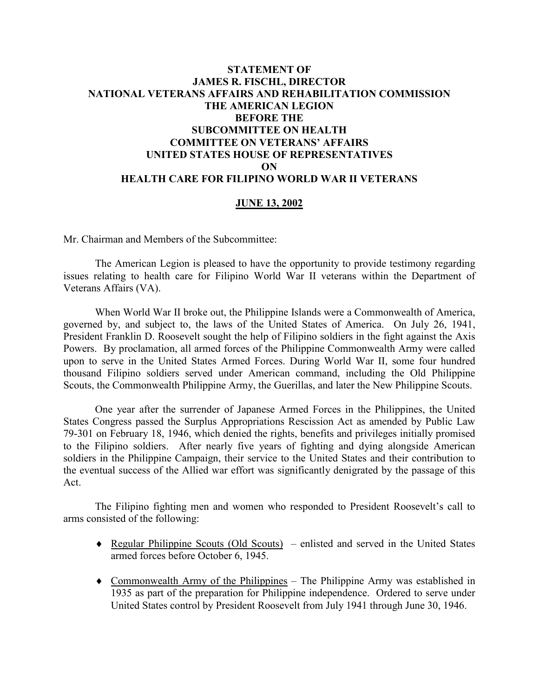## **STATEMENT OF JAMES R. FISCHL, DIRECTOR NATIONAL VETERANS AFFAIRS AND REHABILITATION COMMISSION THE AMERICAN LEGION BEFORE THE SUBCOMMITTEE ON HEALTH COMMITTEE ON VETERANS' AFFAIRS UNITED STATES HOUSE OF REPRESENTATIVES ON HEALTH CARE FOR FILIPINO WORLD WAR II VETERANS**

## **JUNE 13, 2002**

Mr. Chairman and Members of the Subcommittee:

The American Legion is pleased to have the opportunity to provide testimony regarding issues relating to health care for Filipino World War II veterans within the Department of Veterans Affairs (VA).

When World War II broke out, the Philippine Islands were a Commonwealth of America, governed by, and subject to, the laws of the United States of America. On July 26, 1941, President Franklin D. Roosevelt sought the help of Filipino soldiers in the fight against the Axis Powers. By proclamation, all armed forces of the Philippine Commonwealth Army were called upon to serve in the United States Armed Forces. During World War II, some four hundred thousand Filipino soldiers served under American command, including the Old Philippine Scouts, the Commonwealth Philippine Army, the Guerillas, and later the New Philippine Scouts.

One year after the surrender of Japanese Armed Forces in the Philippines, the United States Congress passed the Surplus Appropriations Rescission Act as amended by Public Law 79-301 on February 18, 1946, which denied the rights, benefits and privileges initially promised to the Filipino soldiers. After nearly five years of fighting and dying alongside American soldiers in the Philippine Campaign, their service to the United States and their contribution to the eventual success of the Allied war effort was significantly denigrated by the passage of this Act.

The Filipino fighting men and women who responded to President Roosevelt's call to arms consisted of the following:

- ♦ Regular Philippine Scouts (Old Scouts) enlisted and served in the United States armed forces before October 6, 1945.
- ♦ Commonwealth Army of the Philippines The Philippine Army was established in 1935 as part of the preparation for Philippine independence. Ordered to serve under United States control by President Roosevelt from July 1941 through June 30, 1946.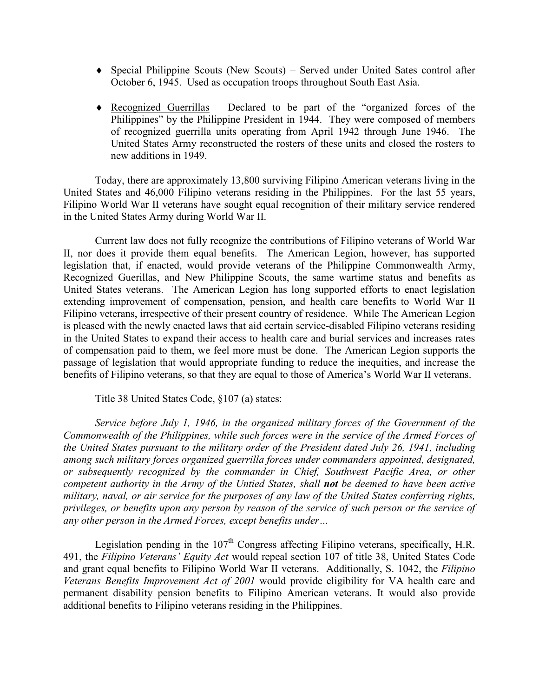- ♦ Special Philippine Scouts (New Scouts) Served under United Sates control after October 6, 1945. Used as occupation troops throughout South East Asia.
- ♦ Recognized Guerrillas Declared to be part of the "organized forces of the Philippines" by the Philippine President in 1944. They were composed of members of recognized guerrilla units operating from April 1942 through June 1946. The United States Army reconstructed the rosters of these units and closed the rosters to new additions in 1949.

Today, there are approximately 13,800 surviving Filipino American veterans living in the United States and 46,000 Filipino veterans residing in the Philippines. For the last 55 years, Filipino World War II veterans have sought equal recognition of their military service rendered in the United States Army during World War II.

Current law does not fully recognize the contributions of Filipino veterans of World War II, nor does it provide them equal benefits. The American Legion, however, has supported legislation that, if enacted, would provide veterans of the Philippine Commonwealth Army, Recognized Guerillas, and New Philippine Scouts, the same wartime status and benefits as United States veterans. The American Legion has long supported efforts to enact legislation extending improvement of compensation, pension, and health care benefits to World War II Filipino veterans, irrespective of their present country of residence.While The American Legion is pleased with the newly enacted laws that aid certain service-disabled Filipino veterans residing in the United States to expand their access to health care and burial services and increases rates of compensation paid to them, we feel more must be done. The American Legion supports the passage of legislation that would appropriate funding to reduce the inequities, and increase the benefits of Filipino veterans, so that they are equal to those of America's World War II veterans.

Title 38 United States Code, §107 (a) states:

*Service before July 1, 1946, in the organized military forces of the Government of the Commonwealth of the Philippines, while such forces were in the service of the Armed Forces of the United States pursuant to the military order of the President dated July 26, 1941, including among such military forces organized guerrilla forces under commanders appointed, designated, or subsequently recognized by the commander in Chief, Southwest Pacific Area, or other competent authority in the Army of the Untied States, shall not be deemed to have been active military, naval, or air service for the purposes of any law of the United States conferring rights, privileges, or benefits upon any person by reason of the service of such person or the service of any other person in the Armed Forces, except benefits under…*

Legislation pending in the  $107<sup>th</sup>$  Congress affecting Filipino veterans, specifically, H.R. 491, the *Filipino Veterans' Equity Act* would repeal section 107 of title 38, United States Code and grant equal benefits to Filipino World War II veterans. Additionally, S. 1042, the *Filipino Veterans Benefits Improvement Act of 2001* would provide eligibility for VA health care and permanent disability pension benefits to Filipino American veterans. It would also provide additional benefits to Filipino veterans residing in the Philippines.